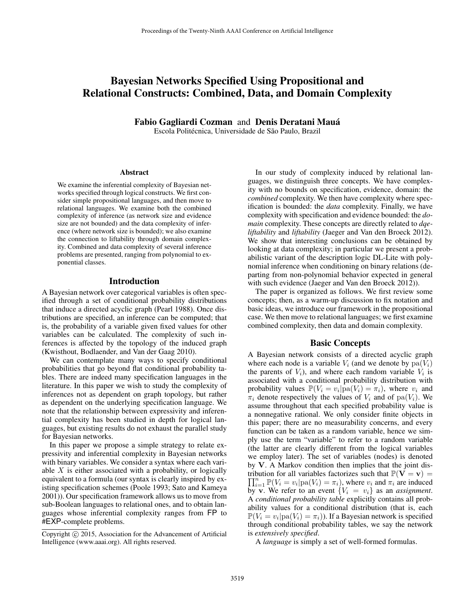# Bayesian Networks Specified Using Propositional and Relational Constructs: Combined, Data, and Domain Complexity

Fabio Gagliardi Cozman and Denis Deratani Mauá

Escola Politécnica, Universidade de São Paulo, Brazil

#### Abstract

We examine the inferential complexity of Bayesian networks specified through logical constructs. We first consider simple propositional languages, and then move to relational languages. We examine both the combined complexity of inference (as network size and evidence size are not bounded) and the data complexity of inference (where network size is bounded); we also examine the connection to liftability through domain complexity. Combined and data complexity of several inference problems are presented, ranging from polynomial to exponential classes.

### Introduction

A Bayesian network over categorical variables is often specified through a set of conditional probability distributions that induce a directed acyclic graph (Pearl 1988). Once distributions are specified, an inference can be computed; that is, the probability of a variable given fixed values for other variables can be calculated. The complexity of such inferences is affected by the topology of the induced graph (Kwisthout, Bodlaender, and Van der Gaag 2010).

We can contemplate many ways to specify conditional probabilities that go beyond flat conditional probability tables. There are indeed many specification languages in the literature. In this paper we wish to study the complexity of inferences not as dependent on graph topology, but rather as dependent on the underlying specification language. We note that the relationship between expressivity and inferential complexity has been studied in depth for logical languages, but existing results do not exhaust the parallel study for Bayesian networks.

In this paper we propose a simple strategy to relate expressivity and inferential complexity in Bayesian networks with binary variables. We consider a syntax where each variable  $X$  is either associated with a probability, or logically equivalent to a formula (our syntax is clearly inspired by existing specification schemes (Poole 1993; Sato and Kameya 2001)). Our specification framework allows us to move from sub-Boolean languages to relational ones, and to obtain languages whose inferential complexity ranges from FP to #EXP-complete problems.

In our study of complexity induced by relational languages, we distinguish three concepts. We have complexity with no bounds on specification, evidence, domain: the *combined* complexity. We then have complexity where specification is bounded: the *data* complexity. Finally, we have complexity with specification and evidence bounded: the *domain* complexity. These concepts are directly related to *dqeliftability* and *liftability* (Jaeger and Van den Broeck 2012). We show that interesting conclusions can be obtained by looking at data complexity; in particular we present a probabilistic variant of the description logic DL-Lite with polynomial inference when conditioning on binary relations (departing from non-polynomial behavior expected in general with such evidence (Jaeger and Van den Broeck 2012)).

The paper is organized as follows. We first review some concepts; then, as a warm-up discussion to fix notation and basic ideas, we introduce our framework in the propositional case. We then move to relational languages; we first examine combined complexity, then data and domain complexity.

### Basic Concepts

A Bayesian network consists of a directed acyclic graph where each node is a variable  $V_i$  (and we denote by  $pa(V_i)$ ) the parents of  $V_i$ ), and where each random variable  $V_i$  is associated with a conditional probability distribution with probability values  $\mathbb{P}(V_i = v_i | pa(V_i) = \pi_i)$ , where  $v_i$  and  $\pi_i$  denote respectively the values of  $V_i$  and of pa( $V_i$ ). We assume throughout that each specified probability value is a nonnegative rational. We only consider finite objects in this paper; there are no measurability concerns, and every function can be taken as a random variable, hence we simply use the term "variable" to refer to a random variable (the latter are clearly different from the logical variables we employ later). The set of variables (nodes) is denoted by V. A Markov condition then implies that the joint dis- $\prod_{i=1}^{n} \mathbb{P}(V_i = v_i | \text{pa}(V_i) = \pi_i)$ , where  $v_i$  and  $\pi_i$  are induced tribution for all variables factorizes such that  $\mathbb{P}(\mathbf{V} = \mathbf{v}) =$ by v. We refer to an event  ${V_i = v_i}$  as an *assignment*. A *conditional probability table* explicitly contains all probability values for a conditional distribution (that is, each  $\mathbb{P}(V_i = v_i | \text{pa}(V_i) = \pi_i)$ ). If a Bayesian network is specified through conditional probability tables, we say the network is *extensively specified*.

A *language* is simply a set of well-formed formulas.

Copyright (c) 2015, Association for the Advancement of Artificial Intelligence (www.aaai.org). All rights reserved.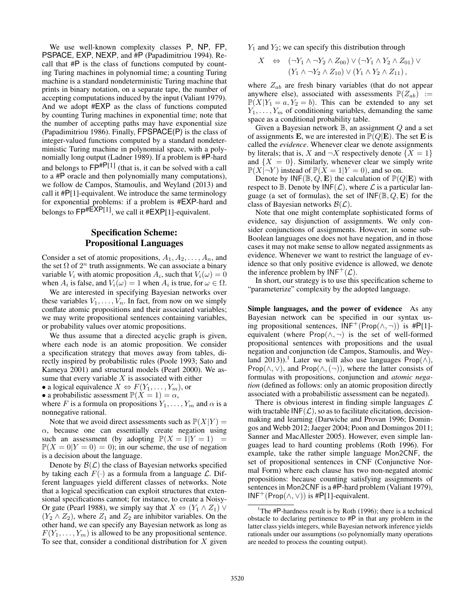We use well-known complexity classes P, NP, FP, PSPACE, EXP, NEXP, and #P (Papadimitriou 1994). Recall that #P is the class of functions computed by counting Turing machines in polynomial time; a counting Turing machine is a standard nondeterministic Turing machine that prints in binary notation, on a separate tape, the number of accepting computations induced by the input (Valiant 1979). And we adopt #EXP as the class of functions computed by counting Turing machines in exponential time; note that the number of accepting paths may have exponential size (Papadimitriou 1986). Finally, FPSPACE(P) is the class of integer-valued functions computed by a standard nondeterministic Turing machine in polynomial space, with a polynomially long output (Ladner 1989). If a problem is #P-hard and belongs to  $\mathsf{FP}^{\#P[1]}$  (that is, it can be solved with a call to a #P oracle and then polynomially many computations), we follow de Campos, Stamoulis, and Weyland (2013) and call it  $#P[1]$ -equivalent. We introduce the same terminology for exponential problems: if a problem is #EXP-hard and belongs to  $\text{FP}^{\# \text{EXP}[1]}$ , we call it  $\# \text{EXP}[1]$ -equivalent.

## Specification Scheme: Propositional Languages

Consider a set of atomic propositions,  $A_1, A_2, \ldots, A_n$ , and the set  $\Omega$  of  $2^n$  truth assignments. We can associate a binary variable  $V_i$  with atomic proposition  $A_i$ , such that  $V_i(\omega) = 0$ when  $A_i$  is false, and  $V_i(\omega) = 1$  when  $A_i$  is true, for  $\omega \in \Omega$ .

We are interested in specifying Bayesian networks over these variables  $V_1, \ldots, V_n$ . In fact, from now on we simply conflate atomic propositions and their associated variables; we may write propositional sentences containing variables, or probability values over atomic propositions.

We thus assume that a directed acyclic graph is given, where each node is an atomic proposition. We consider a specification strategy that moves away from tables, directly inspired by probabilistic rules (Poole 1993; Sato and Kameya 2001) and structural models (Pearl 2000). We assume that every variable  $X$  is associated with either

• a logical equivalence  $X \Leftrightarrow F(Y_1, \ldots, Y_m)$ , or

• a probabilistic assessment  $\mathbb{P}(X = 1) = \alpha$ ,

where F is a formula on propositions  $Y_1, \ldots, Y_m$  and  $\alpha$  is a nonnegative rational.

Note that we avoid direct assessments such as  $\mathbb{P}(X|Y) =$  $\alpha$ , because one can essentially create negation using such an assessment (by adopting  $\mathbb{P}(X = 1 | Y = 1) =$  $\mathbb{P}(X = 0|Y = 0) = 0$ ; in our scheme, the use of negation is a decision about the language.

Denote by  $\mathcal{B}(\mathcal{L})$  the class of Bayesian networks specified by taking each  $F(\cdot)$  as a formula from a language  $\mathcal{L}$ . Different languages yield different classes of networks. Note that a logical specification can exploit structures that extensional specifications cannot; for instance, to create a Noisy-Or gate (Pearl 1988), we simply say that  $X \Leftrightarrow (Y_1 \wedge Z_1) \vee$  $(Y_2 \wedge Z_2)$ , where  $Z_1$  and  $Z_2$  are inhibitor variables. On the other hand, we can specify any Bayesian network as long as  $F(Y_1, \ldots, Y_m)$  is allowed to be any propositional sentence. To see that, consider a conditional distribution for  $X$  given  $Y_1$  and  $Y_2$ ; we can specify this distribution through

$$
X \Leftrightarrow (\neg Y_1 \land \neg Y_2 \land Z_{00}) \lor (\neg Y_1 \land Y_2 \land Z_{01}) \lor
$$
  

$$
(Y_1 \land \neg Y_2 \land Z_{10}) \lor (Y_1 \land Y_2 \land Z_{11}),
$$

where  $Z_{ab}$  are fresh binary variables (that do not appear anywhere else), associated with assessments  $\mathbb{P}(Z_{ab}) :=$  $\mathbb{P}(X|Y_1=a, Y_2=b)$ . This can be extended to any set  $Y_1, \ldots, Y_m$  of conditioning variables, demanding the same space as a conditional probability table.

Given a Bayesian network  $\mathbb{B}$ , an assignment  $Q$  and a set of assignments E, we are interested in  $\mathbb{P}(Q|\mathbf{E})$ . The set E is called the *evidence*. Whenever clear we denote assignments by literals; that is, X and  $\neg X$  respectively denote  $\{X = 1\}$ and  $\{X = 0\}$ . Similarly, whenever clear we simply write  $\mathbb{P}(X|\neg Y)$  instead of  $\mathbb{P}(X=1|Y=0)$ , and so on.

Denote by  $INF(\mathbb{B}, Q, E)$  the calculation of  $\mathbb{P}(Q|E)$  with respect to  $\mathbb B$ . Denote by  $\mathsf{INF}(\mathcal{L})$ , where  $\mathcal L$  is a particular language (a set of formulas), the set of  $INF(\mathbb{B}, Q, E)$  for the class of Bayesian networks  $\mathcal{B}(\mathcal{L})$ .

Note that one might contemplate sophisticated forms of evidence, say disjunction of assignments. We only consider conjunctions of assignments. However, in some sub-Boolean languages one does not have negation, and in those cases it may not make sense to allow negated assignments as evidence. Whenever we want to restrict the language of evidence so that only positive evidence is allowed, we denote the inference problem by  $INF^+(\mathcal{L})$ .

In short, our strategy is to use this specification scheme to "parameterize" complexity by the adopted language.

Simple languages, and the power of evidence As any Bayesian network can be specified in our syntax using propositional sentences,  $INF^+(Prop(\wedge, \neg))$  is #P[1]equivalent (where Prop $(\wedge, \neg)$  is the set of well-formed propositional sentences with propositions and the usual negation and conjunction (de Campos, Stamoulis, and Weyland 2013)).<sup>1</sup> Later we will also use languages Prop( $\wedge$ ), Prop( $\wedge$ ,  $\vee$ ), and Prop( $\wedge$ ,  $(\neg)$ ), where the latter consists of formulas with propositions, conjunction and *atomic negation* (defined as follows: only an atomic proposition directly associated with a probabilistic assessment can be negated).

There is obvious interest in finding simple languages  $\mathcal L$ with tractable  $INF(\mathcal{L})$ , so as to facilitate elicitation, decisionmaking and learning (Darwiche and Provan 1996; Domingos and Webb 2012; Jaeger 2004; Poon and Domingos 2011; Sanner and MacAllester 2005). However, even simple languages lead to hard counting problems (Roth 1996). For example, take the rather simple language Mon2CNF, the set of propositional sentences in CNF (Conjunctive Normal Form) where each clause has two non-negated atomic propositions: because counting satisfying assignments of sentences in Mon2CNF is a #P-hard problem (Valiant 1979), INF<sup>+</sup>(Prop( $\wedge$ ,  $\vee$ )) is #P[1]-equivalent.

<sup>&</sup>lt;sup>1</sup>The  $#P$ -hardness result is by Roth (1996); there is a technical obstacle to declaring pertinence to #P in that any problem in the latter class yields integers, while Bayesian network inference yields rationals under our assumptions (so polynomially many operations are needed to process the counting output).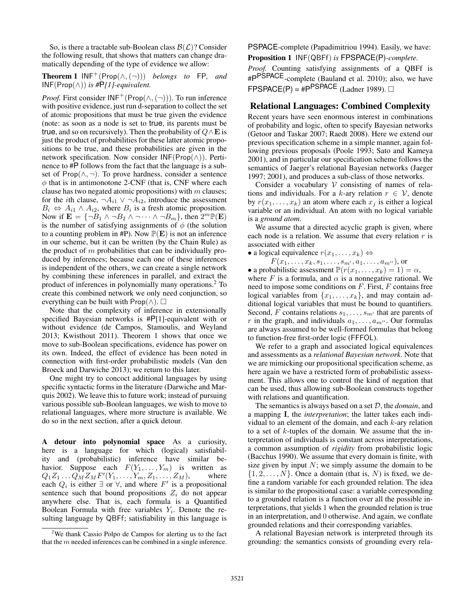So, is there a tractable sub-Boolean class  $\mathcal{B}(\mathcal{L})$ ? Consider the following result, that shows that matters can change dramatically depending of the type of evidence we allow:

**Theorem 1**  $INF^+(Prop(\wedge, \neg))$  *belongs to* FP, and INF(Prop(∧)) *is #*P*[1]-equivalent.*

*Proof.* First consider  $INF^+(Prop(\wedge, \neg))$ . To run inference with positive evidence, just run d-separation to collect the set of atomic propositions that must be true given the evidence (note: as soon as a node is set to true, its parents must be true, and so on recursively). Then the probability of  $Q \wedge E$  is just the product of probabilities for these latter atomic propositions to be true, and these probabilities are given in the network specification. Now consider  $INF(Prop(\wedge))$ . Pertinence to #P follows from the fact that the language is a subset of Prop $(\wedge, \neg)$ . To prove hardness, consider a sentence  $\phi$  that is in antimonotone 2-CNF (that is, CNF where each clause has two negated atomic propositions) with  $m$  clauses; for the *i*th clause,  $\neg A_{i1} \lor \neg A_{i2}$ , introduce the assessment  $B_i \Leftrightarrow A_{i1} \wedge A_{i2}$ , where  $B_i$  is a fresh atomic proposition. Now if  $\mathbf{E} = \{ \neg B_1 \land \neg B_2 \land \neg \cdots \land \neg B_m \}$ , then  $2^m \mathbb{P}(\mathbf{E})$ is the number of satisfying assignments of  $\phi$  (the solution to a counting problem in #P). Now  $\mathbb{P}(E)$  is not an inference in our scheme, but it can be written (by the Chain Rule) as the product of  $m$  probabilities that can be individually produced by inferences; because each one of these inferences is independent of the others, we can create a single network by combining these inferences in parallel, and extract the product of inferences in polynomially many operations.<sup>2</sup> To create this combined network we only need conjunction, so everything can be built with  $\mathsf{Prop}(\wedge)$ .  $\square$ 

Note that the complexity of inference in extensionally specified Bayesian networks is #P[1]-equivalent with or without evidence (de Campos, Stamoulis, and Weyland 2013; Kwisthout 2011). Theorem 1 shows that once we move to sub-Boolean specifications, evidence has power on its own. Indeed, the effect of evidence has been noted in connection with first-order probabilistic models (Van den Broeck and Darwiche 2013); we return to this later.

One might try to concoct additional languages by using specific syntactic forms in the literature (Darwiche and Marquis 2002). We leave this to future work; instead of pursuing various possible sub-Boolean languages, we wish to move to relational languages, where more structure is available. We do so in the next section, after a quick detour.

A detour into polynomial space As a curiosity, here is a language for which (logical) satisfiability and (probabilistic) inference have similar behavior. Suppose each  $F(Y_1, \ldots, Y_m)$  is written as  $Q_1 Z_1 \dots Q_M Z_M F'(Y_1, \dots, Y_m, Z_1, \dots, Z_M)$ , where each  $Q_i$  is either  $\exists$  or  $\forall$ , and where  $F'$  is a propositional sentence such that bound propositions  $Z_i$  do not appear anywhere else. That is, each formula is a Quantified Boolean Formula with free variables  $Y_i$ . Denote the resulting language by QBFf; satisfiability in this language is

PSPACE-complete (Papadimitriou 1994). Easily, we have: Proposition 1 INF(QBFf) *is* FPSPACE(P)*-complete.*

*Proof.* Counting satisfying assignments of a QBFf is #P<sup>PSPACE</sup>-complete (Bauland et al. 2010); also, we have  $\mathsf{FPSPACE}(\mathsf{P}) = \mathsf{\#P}^{\mathsf{PSPACE}}$  (Ladner 1989).  $\Box$ 

### Relational Languages: Combined Complexity

Recent years have seen enormous interest in combinations of probability and logic, often to specify Bayesian networks (Getoor and Taskar 2007; Raedt 2008). Here we extend our previous specification scheme in a simple manner, again following previous proposals (Poole 1993; Sato and Kameya 2001), and in particular our specification scheme follows the semantics of Jaeger's relational Bayesian networks (Jaeger 1997; 2001), and produces a sub-class of those networks.

Consider a vocabulary  $V$  consisting of names of relations and individuals. For a k-ary relation  $r \in V$ , denote by  $r(x_1, \ldots, x_k)$  an atom where each  $x_i$  is either a logical variable or an individual. An atom with no logical variable is a *ground atom*.

We assume that a directed acyclic graph is given, where each node is a relation. We assume that every relation  $r$  is associated with either

• a logical equivalence  $r(x_1, \ldots, x_k) \Leftrightarrow$ 

 $F(x_1, \ldots, x_k, s_1, \ldots, s_{m'}, a_1, \ldots, a_{m''}),$  or

• a probabilistic assessment  $\mathbb{P}(r(x_1, \ldots, x_k) = 1) = \alpha$ ,

where F is a formula, and  $\alpha$  is a nonnegative rational. We need to impose some conditions on  $F$ . First,  $F$  contains free logical variables from  $\{x_1, \ldots, x_k\}$ , and may contain additional logical variables that must be bound to quantifiers. Second, F contains relations  $s_1, \ldots, s_{m'}$  that are parents of r in the graph, and individuals  $a_1, \ldots, a_{m}$ . Our formulas are always assumed to be well-formed formulas that belong to function-free first-order logic (FFFOL).

We refer to a graph and associated logical equivalences and assessments as a *relational Bayesian network*. Note that we are mimicking our propositional specification scheme, as here again we have a restricted form of probabilistic assessment. This allows one to control the kind of negation that can be used, thus allowing sub-Boolean constructs together with relations and quantification.

The semantics is always based on a set D, the *domain*, and a mapping I, the *interpretation*; the latter takes each individual to an element of the domain, and each  $k$ -ary relation to a set of  $k$ -tuples of the domain. We assume that the interpretation of individuals is constant across interpretations, a common assumption of *rigidity* from probabilistic logic (Bacchus 1990). We assume that every domain is finite, with size given by input  $N$ ; we simply assume the domain to be  $\{1, 2, \ldots, N\}$ . Once a domain (that is, N) is fixed, we define a random variable for each grounded relation. The idea is similar to the propositional case: a variable corresponding to a grounded relation is a function over all the possible interpretations, that yields 1 when the grounded relation is true in an interpretation, and 0 otherwise. And again, we conflate grounded relations and their corresponding variables.

A relational Bayesian network is interpreted through its grounding: the semantics consists of grounding every rela-

<sup>&</sup>lt;sup>2</sup>We thank Cassio Polpo de Campos for alerting us to the fact that the  $m$  needed inferences can be combined in a single inference.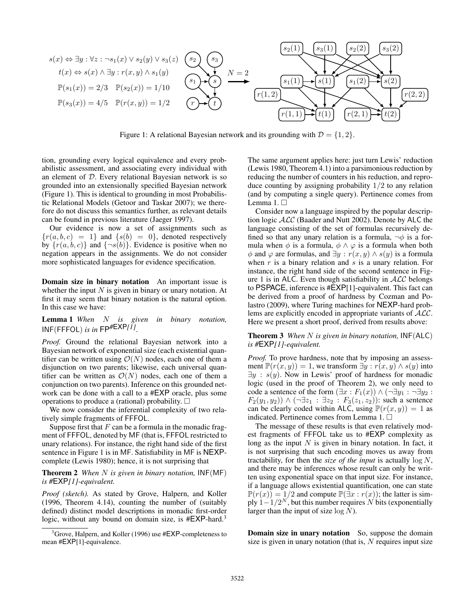

Figure 1: A relational Bayesian network and its grounding with  $\mathcal{D} = \{1, 2\}$ .

tion, grounding every logical equivalence and every probabilistic assessment, and associating every individual with an element of D. Every relational Bayesian network is so grounded into an extensionally specified Bayesian network (Figure 1). This is identical to grounding in most Probabilistic Relational Models (Getoor and Taskar 2007); we therefore do not discuss this semantics further, as relevant details can be found in previous literature (Jaeger 1997).

Our evidence is now a set of assignments such as  ${r(a, b, c) = 1}$  and  ${s(b) = 0}$ , denoted respectively by  $\{r(a, b, c)\}\$  and  $\{\neg s(b)\}\$ . Evidence is positive when no negation appears in the assignments. We do not consider more sophisticated languages for evidence specification.

Domain size in binary notation An important issue is whether the input  $N$  is given in binary or unary notation. At first it may seem that binary notation is the natural option. In this case we have:

Lemma 1 *When* N *is given in binary notation,* INF(FFFOL) *is in* FP*#*EXP*[1] .*

*Proof.* Ground the relational Bayesian network into a Bayesian network of exponential size (each existential quantifier can be written using  $\mathcal{O}(N)$  nodes, each one of them a disjunction on two parents; likewise, each universal quantifier can be written as  $\mathcal{O}(N)$  nodes, each one of them a conjunction on two parents). Inference on this grounded network can be done with a call to a #EXP oracle, plus some operations to produce a (rational) probability.  $\square$ 

We now consider the inferential complexity of two relatively simple fragments of FFFOL.

Suppose first that  $F$  can be a formula in the monadic fragment of FFFOL, denoted by MF (that is, FFFOL restricted to unary relations). For instance, the right hand side of the first sentence in Figure 1 is in MF. Satisfiability in MF is NEXPcomplete (Lewis 1980); hence, it is not surprising that

Theorem 2 *When* N *is given in binary notation,* INF(MF) *is #*EXP*[1]-equivalent.*

*Proof (sketch).* As stated by Grove, Halpern, and Koller (1996, Theorem 4.14), counting the number of (suitably defined) distinct model descriptions in monadic first-order logic, without any bound on domain size, is #EXP-hard.<sup>3</sup>

The same argument applies here: just turn Lewis' reduction (Lewis 1980, Theorem 4.1) into a parsimonious reduction by reducing the number of counters in his reduction, and reproduce counting by assigning probability  $1/2$  to any relation (and by computing a single query). Pertinence comes from Lemma 1. □

Consider now a language inspired by the popular description logic  $ALC$  (Baader and Nutt 2002). Denote by ALC the language consisting of the set of formulas recursively defined so that any unary relation is a formula,  $\neg \phi$  is a formula when  $\phi$  is a formula,  $\phi \land \varphi$  is a formula when both  $\phi$  and  $\varphi$  are formulas, and  $\exists y : r(x, y) \wedge s(y)$  is a formula when  $r$  is a binary relation and  $s$  is a unary relation. For instance, the right hand side of the second sentence in Figure 1 is in ALC. Even though satisfiability in  $ALC$  belongs to PSPACE, inference is #EXP[1]-equivalent. This fact can be derived from a proof of hardness by Cozman and Polastro (2009), where Turing machines for NEXP-hard problems are explicitly encoded in appropriate variants of ALC. Here we present a short proof, derived from results above:

Theorem 3 *When* N *is given in binary notation,* INF(ALC) *is #*EXP*[1]-equivalent.*

*Proof.* To prove hardness, note that by imposing an assessment  $\mathbb{P}(r(x, y)) = 1$ , we transform  $\exists y : r(x, y) \wedge s(y)$  into  $\exists y : s(y)$ . Now in Lewis' proof of hardness for monadic logic (used in the proof of Theorem 2), we only need to code a sentence of the form  $(\exists x : F_1(x)) \wedge (\neg \exists y_1 : \neg \exists y_2 :$  $F_2(y_1, y_2)$ )  $\wedge (\neg \exists z_1 : \exists z_2 : F_3(z_1, z_2))$ : such a sentence can be clearly coded within ALC, using  $\mathbb{P}(r(x, y)) = 1$  as indicated. Pertinence comes from Lemma 1.

The message of these results is that even relatively modest fragments of FFFOL take us to #EXP complexity as long as the input  $N$  is given in binary notation. In fact, it is not surprising that such encoding moves us away from tractability, for then the *size of the input* is actually log N, and there may be inferences whose result can only be written using exponential space on that input size. For instance, if a language allows existential quantification, one can state  $\mathbb{P}(r(x)) = 1/2$  and compute  $\mathbb{P}(\exists x : r(x))$ ; the latter is simply  $1-1/2^N$ , but this number requires  $N$  bits (exponentially larger than the input of size  $log N$ ).

Domain size in unary notation So, suppose the domain size is given in unary notation (that is,  $N$  requires input size

<sup>&</sup>lt;sup>3</sup> Grove, Halpern, and Koller (1996) use #EXP-completeness to mean #EXP[1]-equivalence.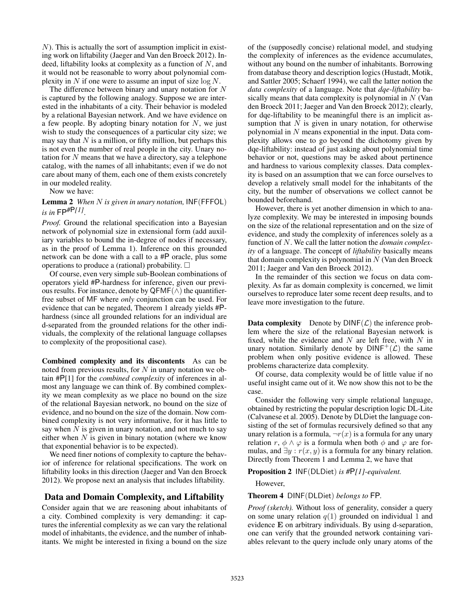$N$ ). This is actually the sort of assumption implicit in existing work on liftability (Jaeger and Van den Broeck 2012). Indeed, liftability looks at complexity as a function of  $N$ , and it would not be reasonable to worry about polynomial complexity in  $N$  if one were to assume an input of size  $\log N$ .

The difference between binary and unary notation for  $N$ is captured by the following analogy. Suppose we are interested in the inhabitants of a city. Their behavior is modeled by a relational Bayesian network. And we have evidence on a few people. By adopting binary notation for  $N$ , we just wish to study the consequences of a particular city size; we may say that  $N$  is a million, or fifty million, but perhaps this is not even the number of real people in the city. Unary notation for  $N$  means that we have a directory, say a telephone catalog, with the names of all inhabitants; even if we do not care about many of them, each one of them exists concretely in our modeled reality.

Now we have:

Lemma 2 *When* N *is given in unary notation,* INF(FFFOL) *is in* FP*#*P*[1] .*

*Proof.* Ground the relational specification into a Bayesian network of polynomial size in extensional form (add auxiliary variables to bound the in-degree of nodes if necessary, as in the proof of Lemma 1). Inference on this grounded network can be done with a call to a #P oracle, plus some operations to produce a (rational) probability.  $\square$ 

Of course, even very simple sub-Boolean combinations of operators yield #P-hardness for inference, given our previous results. For instance, denote by  $\mathsf{QFMF}(\wedge)$  the quantifierfree subset of MF where *only* conjunction can be used. For evidence that can be negated, Theorem 1 already yields #Phardness (since all grounded relations for an individual are d-separated from the grounded relations for the other individuals, the complexity of the relational language collapses to complexity of the propositional case).

Combined complexity and its discontents As can be noted from previous results, for  $N$  in unary notation we obtain #P[1] for the *combined complexity* of inferences in almost any language we can think of. By combined complexity we mean complexity as we place no bound on the size of the relational Bayesian network, no bound on the size of evidence, and no bound on the size of the domain. Now combined complexity is not very informative, for it has little to say when  $N$  is given in unary notation, and not much to say either when  $N$  is given in binary notation (where we know that exponential behavior is to be expected).

We need finer notions of complexity to capture the behavior of inference for relational specifications. The work on liftability looks in this direction (Jaeger and Van den Broeck 2012). We propose next an analysis that includes liftability.

### Data and Domain Complexity, and Liftability

Consider again that we are reasoning about inhabitants of a city. Combined complexity is very demanding: it captures the inferential complexity as we can vary the relational model of inhabitants, the evidence, and the number of inhabitants. We might be interested in fixing a bound on the size of the (supposedly concise) relational model, and studying the complexity of inferences as the evidence accumulates, without any bound on the number of inhabitants. Borrowing from database theory and description logics (Hustadt, Motik, and Sattler 2005; Schaerf 1994), we call the latter notion the *data complexity* of a language. Note that *dqe-liftability* basically means that data complexity is polynomial in  $N$  (Van den Broeck 2011; Jaeger and Van den Broeck 2012); clearly, for dqe-liftability to be meaningful there is an implicit assumption that  $N$  is given in unary notation, for otherwise polynomial in  $N$  means exponential in the input. Data complexity allows one to go beyond the dichotomy given by dqe-liftability: instead of just asking about polynomial time behavior or not, questions may be asked about pertinence and hardness to various complexity classes. Data complexity is based on an assumption that we can force ourselves to develop a relatively small model for the inhabitants of the city, but the number of observations we collect cannot be bounded beforehand.

However, there is yet another dimension in which to analyze complexity. We may be interested in imposing bounds on the size of the relational representation and on the size of evidence, and study the complexity of inferences solely as a function of N. We call the latter notion the *domain complexity* of a language. The concept of *liftability* basically means that domain complexity is polynomial in  $N$  (Van den Broeck 2011; Jaeger and Van den Broeck 2012).

In the remainder of this section we focus on data complexity. As far as domain complexity is concerned, we limit ourselves to reproduce later some recent deep results, and to leave more investigation to the future.

**Data complexity** Denote by  $DINE(\mathcal{L})$  the inference problem where the size of the relational Bayesian network is fixed, while the evidence and  $N$  are left free, with  $N$  in unary notation. Similarly denote by  $DINF^{+}(\mathcal{L})$  the same problem when only positive evidence is allowed. These problems characterize data complexity.

Of course, data complexity would be of little value if no useful insight came out of it. We now show this not to be the case.

Consider the following very simple relational language, obtained by restricting the popular description logic DL-Lite (Calvanese et al. 2005). Denote by DLDiet the language consisting of the set of formulas recursively defined so that any unary relation is a formula,  $\neg r(x)$  is a formula for any unary relation r,  $\phi \land \varphi$  is a formula when both  $\phi$  and  $\varphi$  are formulas, and  $\exists y : r(x, y)$  is a formula for any binary relation. Directly from Theorem 1 and Lemma 2, we have that

Proposition 2 INF(DLDiet) *is #*P*[1]-equivalent.*

However,

Theorem 4 DINF(DLDiet) *belongs to* FP*.*

*Proof (sketch).* Without loss of generality, consider a query on some unary relation  $q(1)$  grounded on individual 1 and evidence E on arbitrary individuals. By using d-separation, one can verify that the grounded network containing variables relevant to the query include only unary atoms of the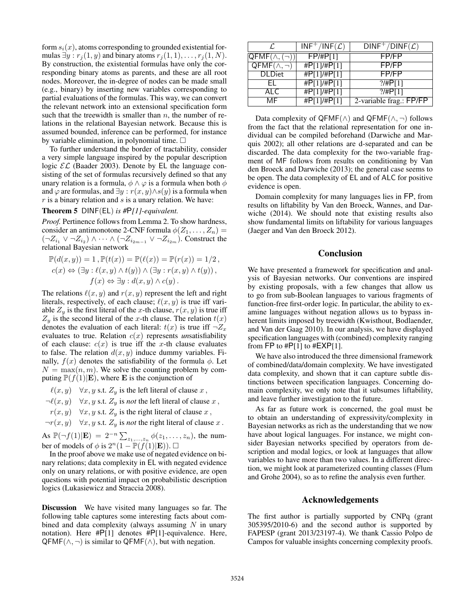form  $s_i(x)$ , atoms corresponding to grounded existential formulas  $\exists y : r_i(1, y)$  and binary atoms  $r_i(1, 1), \ldots, r_i(1, N)$ . By construction, the existential formulas have only the corresponding binary atoms as parents, and these are all root nodes. Moreover, the in-degree of nodes can be made small (e.g., binary) by inserting new variables corresponding to partial evaluations of the formulas. This way, we can convert the relevant network into an extensional specification form such that the treewidth is smaller than  $n$ , the number of relations in the relational Bayesian network. Because this is assumed bounded, inference can be performed, for instance by variable elimination, in polynomial time.  $\square$ 

To further understand the border of tractability, consider a very simple language inspired by the popular description logic  $\mathcal{EL}$  (Baader 2003). Denote by EL the language consisting of the set of formulas recursively defined so that any unary relation is a formula,  $\phi \land \varphi$  is a formula when both  $\phi$ and  $\varphi$  are formulas, and  $\exists y : r(x, y) \wedge s(y)$  is a formula when  $r$  is a binary relation and  $s$  is a unary relation. We have:

### Theorem 5 DINF(EL) *is #*P*[1]-equivalent.*

*Proof.* Pertinence follows from Lemma 2. To show hardness, consider an antimonotone 2-CNF formula  $\phi(Z_1, \ldots, Z_n)$  =  $(\neg Z_{i_1} \lor \neg Z_{i_2}) \land \cdots \land (\neg Z_{i_{2m-1}} \lor \neg Z_{i_{2m}})$ . Construct the relational Bayesian network

$$
\mathbb{P}(d(x,y)) = 1, \mathbb{P}(t(x)) = \mathbb{P}(\ell(x)) = \mathbb{P}(r(x)) = 1/2,
$$
  
\n
$$
c(x) \Leftrightarrow (\exists y : \ell(x,y) \land t(y)) \land (\exists y : r(x,y) \land t(y)),
$$
  
\n
$$
f(x) \Leftrightarrow \exists y : d(x,y) \land c(y).
$$

The relations  $\ell(x, y)$  and  $r(x, y)$  represent the left and right literals, respectively, of each clause;  $\ell(x, y)$  is true iff variable  $Z_y$  is the first literal of the x-th clause,  $r(x, y)$  is true iff  $Z_y$  is the second literal of the x-th clause. The relation  $t(x)$ denotes the evaluation of each literal:  $t(x)$  is true iff  $\neg Z_x$ evaluates to true. Relation  $c(x)$  represents *unsatisfiability* of each clause:  $c(x)$  is true iff the x-th clause evaluates to false. The relation  $d(x, y)$  induce dummy variables. Finally,  $f(x)$  denotes the satisfiability of the formula  $\phi$ . Let  $N = \max(n, m)$ . We solve the counting problem by computing  $\mathbb{P}(f(1)|\mathbf{E})$ , where **E** is the conjunction of

 $\ell(x, y)$   $\forall x, y$  s.t.  $Z_y$  is the left literal of clause x,

 $\neg \ell(x, y) \quad \forall x, y \text{ s.t. } Z_y \text{ is not the left literal of clause } x,$ 

 $r(x, y)$   $\forall x, y \text{ s.t. } Z_y$  is the right literal of clause x,

 $\neg r(x, y)$   $\forall x, y \text{ s.t. } Z_y \text{ is not the right literal of clause } x.$ 

As  $\mathbb{P}(\neg f(1)|\mathbf{E}) = 2^{-n} \sum_{z_1,...,z_n} \phi(z_1,...,z_n)$ , the number of models of  $\phi$  is  $2^n(1 - \mathbb{P}(f(1)|\mathbf{E}))$ .

In the proof above we make use of negated evidence on binary relations; data complexity in EL with negated evidence only on unary relations, or with positive evidence, are open questions with potential impact on probabilistic description logics (Lukasiewicz and Straccia 2008).

Discussion We have visited many languages so far. The following table captures some interesting facts about combined and data complexity (always assuming  $N$  in unary notation). Here #P[1] denotes #P[1]-equivalence. Here,  $QFMF(\wedge, \neg)$  is similar to  $QFMF(\wedge)$ , but with negation.

| ſ.                                         | $INF^+/INF(\mathcal{L})$ | $DINF^+/DINF(\mathcal{L})$ |
|--------------------------------------------|--------------------------|----------------------------|
| $\overline{\mathsf{QFMF}(\wedge,(\neg)) }$ | FP/HPI1                  | FP/FP                      |
| $QFMF(\wedge, \neg)$                       | #P[1]/#P[1]              | FP/FP                      |
| <b>DLDiet</b>                              | #P[1]/#P[1]              | FP/FP                      |
| FI.                                        | #P[1]/#P[1]              | $?$ /#P[1]                 |
| ALC                                        | #P[1]/#P[1]              | $?$ /#P[1]                 |
| MF                                         | #P[1]/#P[1]              | 2-variable frag.: FP/FP    |
|                                            |                          |                            |

Data complexity of QFMF( $\land$ ) and QFMF( $\land$ ,  $\neg$ ) follows from the fact that the relational representation for one individual can be compiled beforehand (Darwiche and Marquis 2002); all other relations are d-separated and can be discarded. The data complexity for the two-variable fragment of MF follows from results on conditioning by Van den Broeck and Darwiche (2013); the general case seems to be open. The data complexity of EL and of ALC for positive evidence is open.

Domain complexity for many languages lies in FP, from results on liftability by Van den Broeck, Wannes, and Darwiche (2014). We should note that existing results also show fundamental limits on liftability for various languages (Jaeger and Van den Broeck 2012).

### Conclusion

We have presented a framework for specification and analysis of Bayesian networks. Our conventions are inspired by existing proposals, with a few changes that allow us to go from sub-Boolean languages to various fragments of function-free first-order logic. In particular, the ability to examine languages without negation allows us to bypass inherent limits imposed by treewidth (Kwisthout, Bodlaender, and Van der Gaag 2010). In our analysis, we have displayed specification languages with (combined) complexity ranging from FP to  $#P[1]$  to  $#EXP[1]$ .

We have also introduced the three dimensional framework of combined/data/domain complexity. We have investigated data complexity, and shown that it can capture subtle distinctions between specification languages. Concerning domain complexity, we only note that it subsumes liftability, and leave further investigation to the future.

As far as future work is concerned, the goal must be to obtain an understanding of expressivity/complexity in Bayesian networks as rich as the understanding that we now have about logical languages. For instance, we might consider Bayesian networks specified by operators from description and modal logics, or look at languages that allow variables to have more than two values. In a different direction, we might look at parameterized counting classes (Flum and Grohe 2004), so as to refine the analysis even further.

### Acknowledgements

The first author is partially supported by CNPq (grant 305395/2010-6) and the second author is supported by FAPESP (grant 2013/23197-4). We thank Cassio Polpo de Campos for valuable insights concerning complexity proofs.